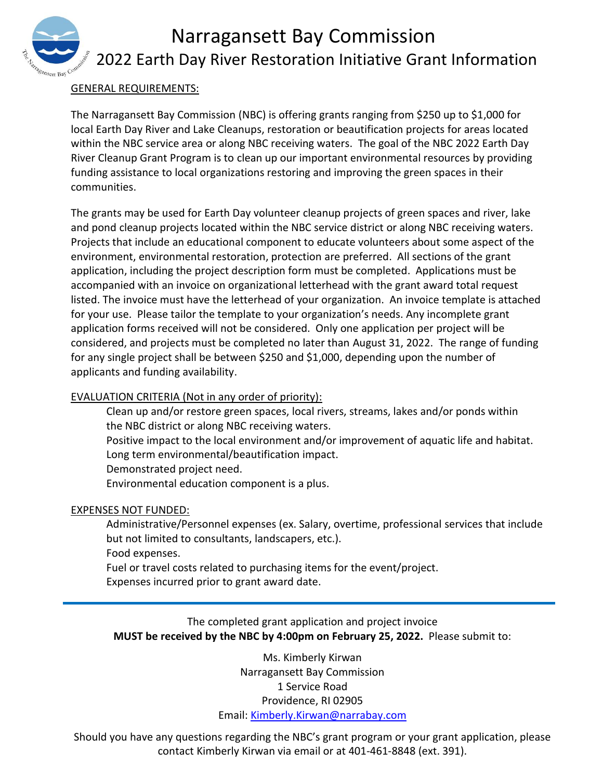# Narragansett Bay Commission 2022 Earth Day River Restoration Initiative Grant Information

#### GENERAL REQUIREMENTS:

The Narragansett Bay Commission (NBC) is offering grants ranging from \$250 up to \$1,000 for local Earth Day River and Lake Cleanups, restoration or beautification projects for areas located within the NBC service area or along NBC receiving waters. The goal of the NBC 2022 Earth Day River Cleanup Grant Program is to clean up our important environmental resources by providing funding assistance to local organizations restoring and improving the green spaces in their communities.

The grants may be used for Earth Day volunteer cleanup projects of green spaces and river, lake and pond cleanup projects located within the NBC service district or along NBC receiving waters. Projects that include an educational component to educate volunteers about some aspect of the environment, environmental restoration, protection are preferred. All sections of the grant application, including the project description form must be completed. Applications must be accompanied with an invoice on organizational letterhead with the grant award total request listed. The invoice must have the letterhead of your organization. An invoice template is attached for your use. Please tailor the template to your organization's needs. Any incomplete grant application forms received will not be considered. Only one application per project will be considered, and projects must be completed no later than August 31, 2022. The range of funding for any single project shall be between \$250 and \$1,000, depending upon the number of applicants and funding availability.

#### EVALUATION CRITERIA (Not in any order of priority):

Clean up and/or restore green spaces, local rivers, streams, lakes and/or ponds within the NBC district or along NBC receiving waters.

Positive impact to the local environment and/or improvement of aquatic life and habitat. Long term environmental/beautification impact.

Demonstrated project need.

Environmental education component is a plus.

#### EXPENSES NOT FUNDED:

Administrative/Personnel expenses (ex. Salary, overtime, professional services that include but not limited to consultants, landscapers, etc.).

Food expenses.

Fuel or travel costs related to purchasing items for the event/project. Expenses incurred prior to grant award date.

The completed grant application and project invoice **MUST be received by the NBC by 4:00pm on February 25, 2022.** Please submit to:

> Ms. Kimberly Kirwan Narragansett Bay Commission 1 Service Road Providence, RI 02905 Email: [Kimberly.Kirwan@narrabay.com](mailto:Kimberly.Kirwan@narrabay.com)

Should you have any questions regarding the NBC's grant program or your grant application, please contact Kimberly Kirwan via email or at 401-461-8848 (ext. 391).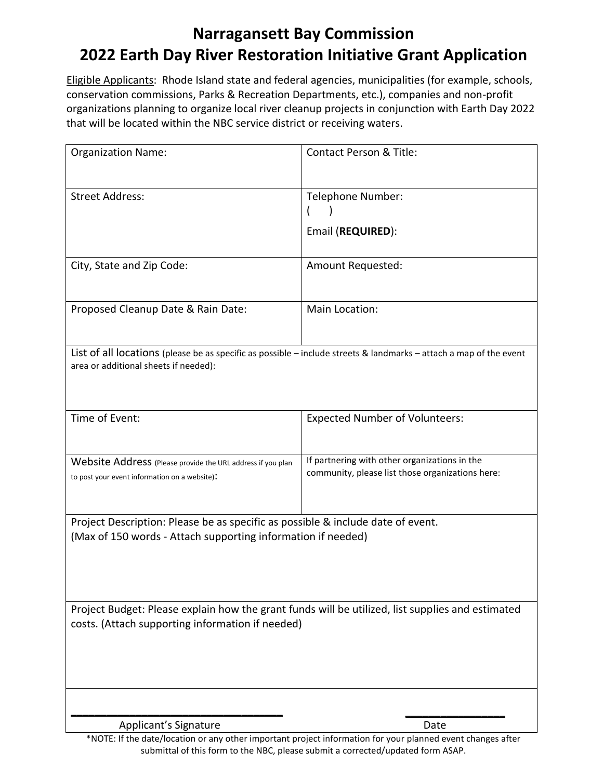### **Narragansett Bay Commission 2022 Earth Day River Restoration Initiative Grant Application**

Eligible Applicants: Rhode Island state and federal agencies, municipalities (for example, schools, conservation commissions, Parks & Recreation Departments, etc.), companies and non-profit organizations planning to organize local river cleanup projects in conjunction with Earth Day 2022 that will be located within the NBC service district or receiving waters.

| <b>Organization Name:</b>                                                                                                                                   | <b>Contact Person &amp; Title:</b>                                                                |  |  |  |
|-------------------------------------------------------------------------------------------------------------------------------------------------------------|---------------------------------------------------------------------------------------------------|--|--|--|
| <b>Street Address:</b>                                                                                                                                      | Telephone Number:<br>Email (REQUIRED):                                                            |  |  |  |
| City, State and Zip Code:                                                                                                                                   | <b>Amount Requested:</b>                                                                          |  |  |  |
| Proposed Cleanup Date & Rain Date:                                                                                                                          | Main Location:                                                                                    |  |  |  |
| List of all locations (please be as specific as possible – include streets & landmarks – attach a map of the event<br>area or additional sheets if needed): |                                                                                                   |  |  |  |
| Time of Event:                                                                                                                                              | <b>Expected Number of Volunteers:</b>                                                             |  |  |  |
| Website Address (Please provide the URL address if you plan<br>to post your event information on a website):                                                | If partnering with other organizations in the<br>community, please list those organizations here: |  |  |  |
| Project Description: Please be as specific as possible & include date of event.<br>(Max of 150 words - Attach supporting information if needed)             |                                                                                                   |  |  |  |
| Project Budget: Please explain how the grant funds will be utilized, list supplies and estimated<br>costs. (Attach supporting information if needed)        |                                                                                                   |  |  |  |
| Applicant's Signature                                                                                                                                       | Date                                                                                              |  |  |  |

\*NOTE: If the date/location or any other important project information for your planned event changes after submittal of this form to the NBC, please submit a corrected/updated form ASAP.